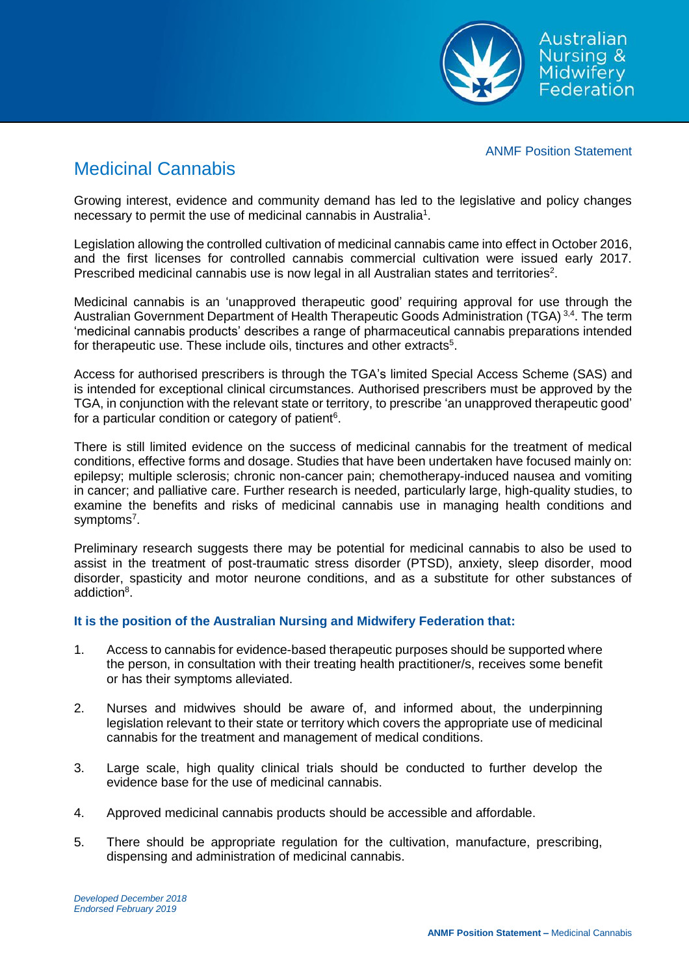

## ANMF Position Statement

## Medicinal Cannabis

Growing interest, evidence and community demand has led to the legislative and policy changes necessary to permit the use of medicinal cannabis in Australia<sup>1</sup>.

Legislation allowing the controlled cultivation of medicinal cannabis came into effect in October 2016, and the first licenses for controlled cannabis commercial cultivation were issued early 2017. Prescribed medicinal cannabis use is now legal in all Australian states and territories<sup>2</sup>.

Medicinal cannabis is an 'unapproved therapeutic good' requiring approval for use through the Australian Government Department of Health Therapeutic Goods Administration (TGA)<sup>3,4</sup>. The term 'medicinal cannabis products' describes a range of pharmaceutical cannabis preparations intended for therapeutic use. These include oils, tinctures and other extracts<sup>5</sup>.

Access for authorised prescribers is through the TGA's limited Special Access Scheme (SAS) and is intended for exceptional clinical circumstances. Authorised prescribers must be approved by the TGA, in conjunction with the relevant state or territory, to prescribe 'an unapproved therapeutic good' for a particular condition or category of patient<sup>6</sup>.

There is still limited evidence on the success of medicinal cannabis for the treatment of medical conditions, effective forms and dosage. Studies that have been undertaken have focused mainly on: epilepsy; multiple sclerosis; chronic non-cancer pain; chemotherapy-induced nausea and vomiting in cancer; and palliative care. Further research is needed, particularly large, high-quality studies, to examine the benefits and risks of medicinal cannabis use in managing health conditions and symptoms<sup>7</sup>.

Preliminary research suggests there may be potential for medicinal cannabis to also be used to assist in the treatment of post-traumatic stress disorder (PTSD), anxiety, sleep disorder, mood disorder, spasticity and motor neurone conditions, and as a substitute for other substances of addiction<sup>8</sup>.

## **It is the position of the Australian Nursing and Midwifery Federation that:**

- 1. Access to cannabis for evidence-based therapeutic purposes should be supported where the person, in consultation with their treating health practitioner/s, receives some benefit or has their symptoms alleviated.
- 2. Nurses and midwives should be aware of, and informed about, the underpinning legislation relevant to their state or territory which covers the appropriate use of medicinal cannabis for the treatment and management of medical conditions.
- 3. Large scale, high quality clinical trials should be conducted to further develop the evidence base for the use of medicinal cannabis.
- 4. Approved medicinal cannabis products should be accessible and affordable.
- 5. There should be appropriate regulation for the cultivation, manufacture, prescribing, dispensing and administration of medicinal cannabis.